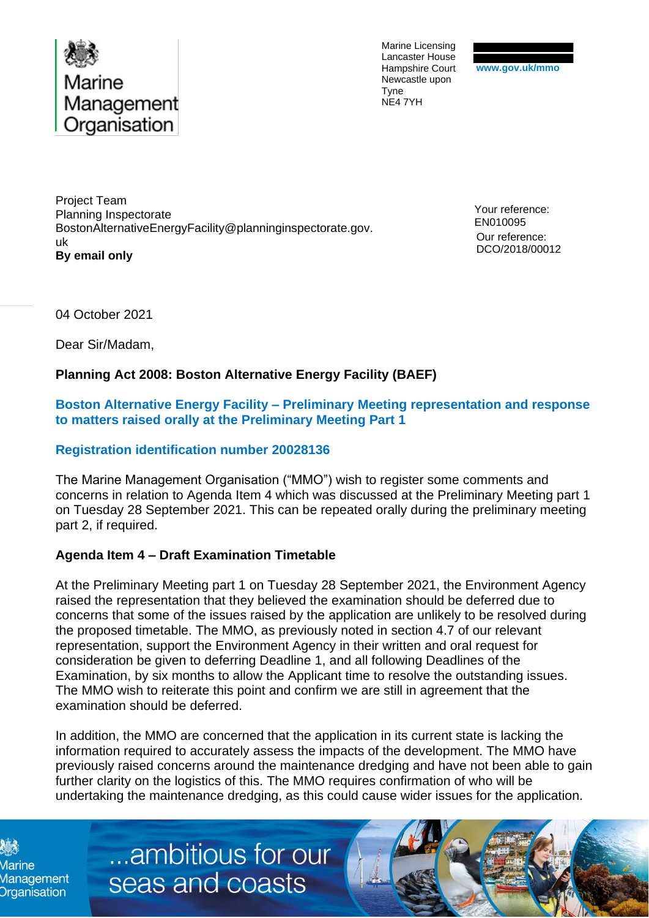

Marine Licensing Lancaster House Hampshire Court Newcastle upon Tyne NE4 7YH

Project Team Planning Inspectorate BostonAlternativeEnergyFacility@planninginspectorate.gov. uk **By email only**

Your reference: EN010095 Our reference: DCO/2018/00012

04 October 2021

Dear Sir/Madam,

## **Planning Act 2008: Boston Alternative Energy Facility (BAEF)**

## **Boston Alternative Energy Facility – Preliminary Meeting representation and response to matters raised orally at the Preliminary Meeting Part 1**

## **Registration identification number 20028136**

The Marine Management Organisation ("MMO") wish to register some comments and concerns in relation to Agenda Item 4 which was discussed at the Preliminary Meeting part 1 on Tuesday 28 September 2021. This can be repeated orally during the preliminary meeting part 2, if required.

## **Agenda Item 4 – Draft Examination Timetable**

At the Preliminary Meeting part 1 on Tuesday 28 September 2021, the Environment Agency raised the representation that they believed the examination should be deferred due to concerns that some of the issues raised by the application are unlikely to be resolved during the proposed timetable. The MMO, as previously noted in section 4.7 of our relevant representation, support the Environment Agency in their written and oral request for consideration be given to deferring Deadline 1, and all following Deadlines of the Examination, by six months to allow the Applicant time to resolve the outstanding issues. The MMO wish to reiterate this point and confirm we are still in agreement that the examination should be deferred.

In addition, the MMO are concerned that the application in its current state is lacking the information required to accurately assess the impacts of the development. The MMO have previously raised concerns around the maintenance dredging and have not been able to gain further clarity on the logistics of this. The MMO requires confirmation of who will be undertaking the maintenance dredging, as this could cause wider issues for the application.

Marine Management **Organisation** 

...ambitious for our seas and coasts